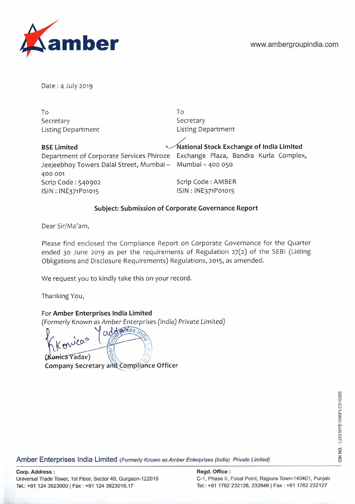



Date:  $4$  July 2019

To To Secretary Secretary

Listing Department Listing Department

**BSE Limited Constructed Stock Exchange of India Limited** Department of Corporate Services Phiroze Exchange Plaza, Bandra Kurla Complex, Jeejeebhoy Towers Dalal Street, Mumbai - Mumbai - 400 050 400 001 Scrip Code : 540902 Scrip Code : AMBER ISIN : INE371P01015 ISIN : INE371P01015

# **Subject: Submission of Corporate Governance Report**

Dear Sir/Ma'am,

Please find enclosed the Compliance Report on Corporate Governance for the Quarter ended 30 June 2019 as per the requirements of Regulation 27(2) of the SEBI (Listing Obligations and Disclosure Requirements) Regulations, 2015, as amended.

We request you to kindly take this on your record.

Thanking You,

envicaa

## For **Amber Enterprises India Limited**

(Formerly Known as Amber Enterprises (India) Private Limited)<br>  $\int \frac{1}{\sqrt{d\theta}} \frac{1}{\sqrt{d\theta}}$ 

(Konica Yadav) **Company Secretary an Compl!ance Officer**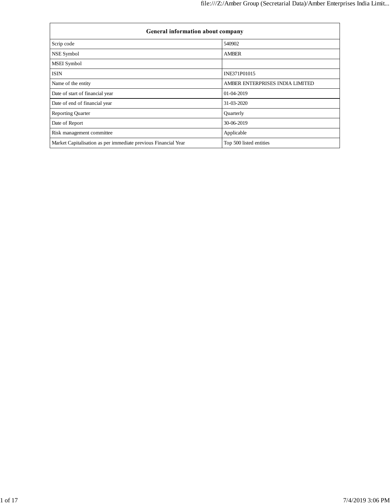| General information about company                              |                                 |
|----------------------------------------------------------------|---------------------------------|
| Scrip code                                                     | 540902                          |
| NSE Symbol                                                     | <b>AMBER</b>                    |
| <b>MSEI</b> Symbol                                             |                                 |
| <b>ISIN</b>                                                    | INE371P01015                    |
| Name of the entity                                             | AMBER ENTERPRISES INDIA LIMITED |
| Date of start of financial year                                | 01-04-2019                      |
| Date of end of financial year                                  | 31-03-2020                      |
| <b>Reporting Quarter</b>                                       | Quarterly                       |
| Date of Report                                                 | 30-06-2019                      |
| Risk management committee                                      | Applicable                      |
| Market Capitalisation as per immediate previous Financial Year | Top 500 listed entities         |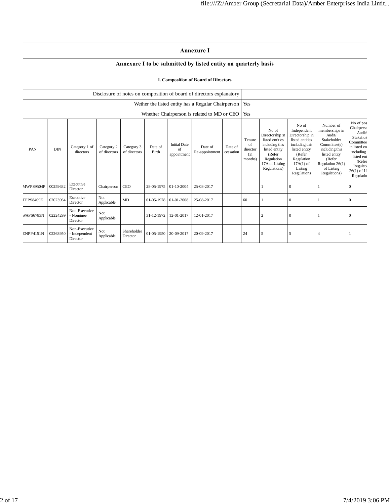### **Annexure I**

### **Annexure I to be submitted by listed entity on quarterly basis**

#### **I. Composition of Board of Directors**

|                  |            |                                            |                            |                            |                       |                                          | Disclosure of notes on composition of board of directors explanatory |                      |                                               |                                                                                                                                          |                                                                                                                                                                |                                                                                                                                                                       |                                                                                                                                                            |
|------------------|------------|--------------------------------------------|----------------------------|----------------------------|-----------------------|------------------------------------------|----------------------------------------------------------------------|----------------------|-----------------------------------------------|------------------------------------------------------------------------------------------------------------------------------------------|----------------------------------------------------------------------------------------------------------------------------------------------------------------|-----------------------------------------------------------------------------------------------------------------------------------------------------------------------|------------------------------------------------------------------------------------------------------------------------------------------------------------|
|                  |            |                                            |                            |                            |                       |                                          | Wether the listed entity has a Regular Chairperson   Yes             |                      |                                               |                                                                                                                                          |                                                                                                                                                                |                                                                                                                                                                       |                                                                                                                                                            |
|                  |            |                                            |                            |                            |                       |                                          | Whether Chairperson is related to MD or CEO                          |                      | Yes                                           |                                                                                                                                          |                                                                                                                                                                |                                                                                                                                                                       |                                                                                                                                                            |
| PAN              | <b>DIN</b> | Category 1 of<br>directors                 | Category 2<br>of directors | Category 3<br>of directors | Date of<br>Birth      | <b>Initial Date</b><br>of<br>appointment | Date of<br>Re-appointment                                            | Date of<br>cessation | Tenure<br>of<br>director<br>$\sin$<br>months) | No of<br>Directorship in<br>listed entities<br>including this<br>listed entity<br>(Refer<br>Regulation<br>17A of Listing<br>Regulations) | No of<br>Independent<br>Directorship in<br>listed entities<br>including this<br>listed entity<br>(Refer<br>Regulation<br>$17A(1)$ of<br>Listing<br>Regulations | Number of<br>memberships in<br>Audit/<br>Stakeholder<br>Committee(s)<br>including this<br>listed entity<br>(Refer<br>Regulation $26(1)$<br>of Listing<br>Regulations) | No of pos<br>Chairperso<br>Audit/<br>Stakehol<br>Committee<br>in listed en<br>including<br>listed ent<br>(Refer<br>Regulatio<br>$26(1)$ of Li<br>Regulatio |
| MWPS9504P        | 00259632   | Executive<br>Director                      | Chairperson                | <b>CEO</b>                 | 28-05-1975 01-10-2004 |                                          | 25-08-2017                                                           |                      |                                               |                                                                                                                                          | $\mathbf{0}$                                                                                                                                                   |                                                                                                                                                                       | $\theta$                                                                                                                                                   |
| <b>TFPS8409E</b> | 02023964   | Executive<br>Director                      | Not<br>Applicable          | MD                         |                       | 01-05-1978 01-01-2008                    | 25-08-2017                                                           |                      | 60                                            |                                                                                                                                          | $\mathbf{0}$                                                                                                                                                   |                                                                                                                                                                       | $\theta$                                                                                                                                                   |
| <b>WAPS6783N</b> | 02224299   | Non-Executive<br>- Nominee<br>Director     | Not<br>Applicable          |                            | 31-12-1972            | 12-01-2017                               | 12-01-2017                                                           |                      |                                               | $\overline{c}$                                                                                                                           | $\Omega$                                                                                                                                                       |                                                                                                                                                                       | $\Omega$                                                                                                                                                   |
| <b>ENPP4151N</b> | 02263950   | Non-Executive<br>- Independent<br>Director | Not<br>Applicable          | Shareholder<br>Director    | 01-05-1950 20-09-2017 |                                          | 20-09-2017                                                           |                      | 24                                            | $\overline{\phantom{0}}$                                                                                                                 | 5                                                                                                                                                              | 4                                                                                                                                                                     |                                                                                                                                                            |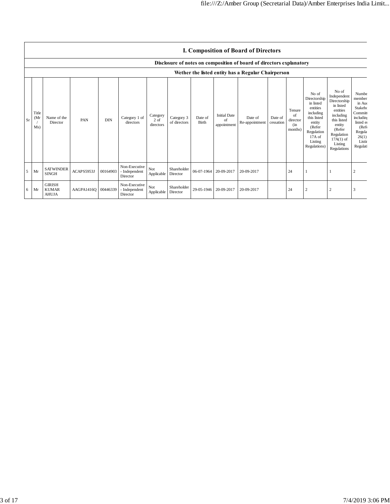|                |                                                    |                                               |                     |            |                                            |                               |                            |                  |                                          | <b>I. Composition of Board of Directors</b>                          |                      |                                               |                                                                                                                                                   |                                                                                                                                                                      |                                                                                                                                           |
|----------------|----------------------------------------------------|-----------------------------------------------|---------------------|------------|--------------------------------------------|-------------------------------|----------------------------|------------------|------------------------------------------|----------------------------------------------------------------------|----------------------|-----------------------------------------------|---------------------------------------------------------------------------------------------------------------------------------------------------|----------------------------------------------------------------------------------------------------------------------------------------------------------------------|-------------------------------------------------------------------------------------------------------------------------------------------|
|                |                                                    |                                               |                     |            |                                            |                               |                            |                  |                                          | Disclosure of notes on composition of board of directors explanatory |                      |                                               |                                                                                                                                                   |                                                                                                                                                                      |                                                                                                                                           |
|                | Wether the listed entity has a Regular Chairperson |                                               |                     |            |                                            |                               |                            |                  |                                          |                                                                      |                      |                                               |                                                                                                                                                   |                                                                                                                                                                      |                                                                                                                                           |
| Sr             | Title<br>(Mi<br>Ms)                                | Name of the<br>Director                       | PAN                 | <b>DIN</b> | Category 1 of<br>directors                 | Category<br>2 of<br>directors | Category 3<br>of directors | Date of<br>Birth | <b>Initial Date</b><br>of<br>appointment | Date of<br>Re-appointment                                            | Date of<br>cessation | Tenure<br>of<br>director<br>$\sin$<br>months) | No of<br>Directorship<br>in listed<br>entities<br>including<br>this listed<br>entity<br>(Refer<br>Regulation<br>17A of<br>Listing<br>Regulations) | No of<br>Independent<br>Directorship<br>in listed<br>entities<br>including<br>this listed<br>entity<br>(Refer<br>Regulation<br>$17A(1)$ of<br>Listing<br>Regulations | Numbe<br>member<br>in Auc<br>Stakeho<br>Committ<br>including<br>listed er<br>(Ref <sub>0</sub> )<br>Regula<br>26(1)<br>Listin<br>Regulati |
| 5 <sup>5</sup> | Mr                                                 | <b>SATWINDER</b><br><b>SINGH</b>              | ACAPS5953J          | 00164903   | Non-Executive<br>- Independent<br>Director | Not<br>Applicable             | Shareholder<br>Director    |                  | 06-07-1964 20-09-2017                    | 20-09-2017                                                           |                      | 24                                            |                                                                                                                                                   |                                                                                                                                                                      | $\overline{2}$                                                                                                                            |
| 6              | Mr                                                 | <b>GIRISH</b><br><b>KUMAR</b><br><b>AHUJA</b> | AAGPA1416Q 00446339 |            | Non-Executive<br>- Independent<br>Director | Not<br>Applicable             | Shareholder<br>Director    |                  | 29-05-1946 20-09-2017                    | 20-09-2017                                                           |                      | 24                                            | $\overline{\mathbf{c}}$                                                                                                                           | $\overline{2}$                                                                                                                                                       | 3                                                                                                                                         |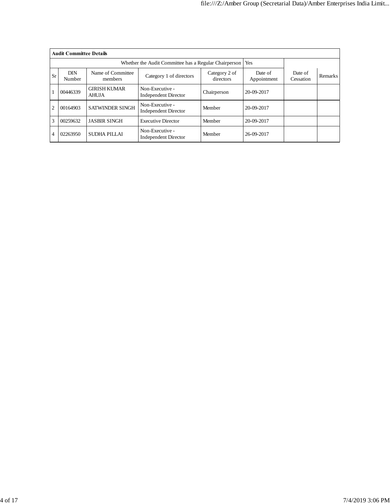|                | <b>Audit Committee Details</b> |                                     |                                                       |                            |                        |                      |                |
|----------------|--------------------------------|-------------------------------------|-------------------------------------------------------|----------------------------|------------------------|----------------------|----------------|
|                |                                |                                     | Whether the Audit Committee has a Regular Chairperson |                            | Yes                    |                      |                |
| <b>Sr</b>      | <b>DIN</b><br>Number           | Name of Committee<br>members        | Category 1 of directors                               | Category 2 of<br>directors | Date of<br>Appointment | Date of<br>Cessation | <b>Remarks</b> |
|                | 00446339                       | <b>GIRISH KUMAR</b><br><b>AHUJA</b> | Non-Executive -<br><b>Independent Director</b>        | Chairperson                | 20-09-2017             |                      |                |
| $\overline{2}$ | 00164903                       | <b>SATWINDER SINGH</b>              | Non-Executive -<br><b>Independent Director</b>        | Member                     | 20-09-2017             |                      |                |
| 3              | 00259632                       | <b>JASBIR SINGH</b>                 | <b>Executive Director</b>                             | Member                     | 20-09-2017             |                      |                |
| $\overline{4}$ | 02263950                       | SUDHA PILLAI                        | Non-Executive -<br><b>Independent Director</b>        | Member                     | 26-09-2017             |                      |                |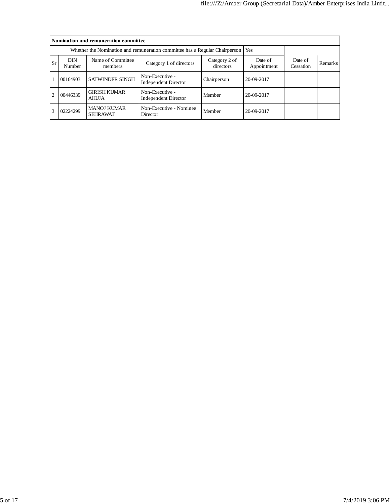|                |                      | Nomination and remuneration committee |                                                                                   |                      |                |  |  |
|----------------|----------------------|---------------------------------------|-----------------------------------------------------------------------------------|----------------------|----------------|--|--|
|                |                      |                                       | Whether the Nomination and remuneration committee has a Regular Chairperson   Yes |                      |                |  |  |
| Sr             | <b>DIN</b><br>Number | Name of Committee<br>members          | Date of<br>Appointment                                                            | Date of<br>Cessation | <b>Remarks</b> |  |  |
|                | 00164903             | <b>SATWINDER SINGH</b>                | Non-Executive -<br><b>Independent Director</b>                                    | Chairperson          | 20-09-2017     |  |  |
| $\overline{c}$ | 00446339             | <b>GIRISH KUMAR</b><br><b>AHUJA</b>   | Non-Executive -<br><b>Independent Director</b>                                    | Member               | 20-09-2017     |  |  |
| 3              | 02224299             | <b>MANOJ KUMAR</b><br><b>SEHRAWAT</b> | Non-Executive - Nominee<br>Director                                               | Member               | 20-09-2017     |  |  |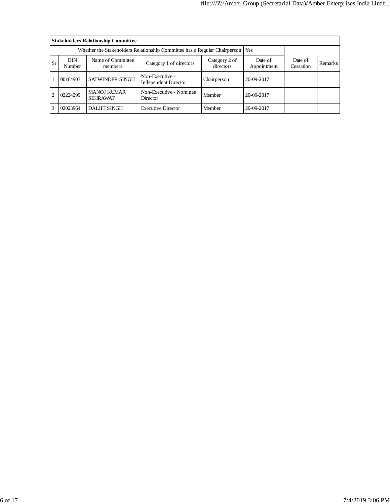|                                                                                                                            |          | <b>Stakeholders Relationship Committee</b> |                                                                                 |             |                        |                      |                |
|----------------------------------------------------------------------------------------------------------------------------|----------|--------------------------------------------|---------------------------------------------------------------------------------|-------------|------------------------|----------------------|----------------|
|                                                                                                                            |          |                                            | Whether the Stakeholders Relationship Committee has a Regular Chairperson   Yes |             |                        |                      |                |
| <b>DIN</b><br>Name of Committee<br>Category 2 of<br><b>Sr</b><br>Category 1 of directors<br>directors<br>Number<br>members |          |                                            |                                                                                 |             | Date of<br>Appointment | Date of<br>Cessation | <b>Remarks</b> |
|                                                                                                                            | 00164903 | <b>SATWINDER SINGH</b>                     | Non-Executive -<br><b>Independent Director</b>                                  | Chairperson | 20-09-2017             |                      |                |
| <b>MANOJ KUMAR</b><br>Non-Executive - Nominee<br>02224299<br>2<br><b>SEHRAWAT</b><br>Director                              |          | Member                                     | 20-09-2017                                                                      |             |                        |                      |                |
| 3                                                                                                                          | 02023964 | <b>DALJIT SINGH</b>                        | <b>Executive Director</b>                                                       | Member      | 20-09-2017             |                      |                |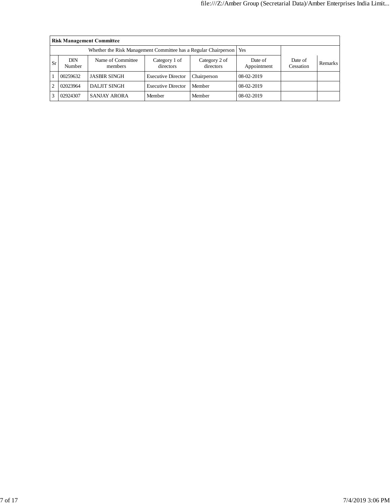|     | <b>Risk Management Committee</b> |                                                                       |                            |                            |                        |                      |         |  |  |  |  |
|-----|----------------------------------|-----------------------------------------------------------------------|----------------------------|----------------------------|------------------------|----------------------|---------|--|--|--|--|
|     |                                  | Whether the Risk Management Committee has a Regular Chairperson   Yes |                            |                            |                        |                      |         |  |  |  |  |
| Sr. | DIN<br>Number                    | Name of Committee<br>members                                          | Category 1 of<br>directors | Category 2 of<br>directors | Date of<br>Appointment | Date of<br>Cessation | Remarks |  |  |  |  |
|     | 00259632                         | <b>JASBIR SINGH</b>                                                   | <b>Executive Director</b>  | Chairperson                | 08-02-2019             |                      |         |  |  |  |  |
|     | 02023964                         | <b>DALJIT SINGH</b>                                                   | <b>Executive Director</b>  | Member                     | 08-02-2019             |                      |         |  |  |  |  |
|     | 02924307                         | <b>SANJAY ARORA</b>                                                   | Member                     | Member                     | 08-02-2019             |                      |         |  |  |  |  |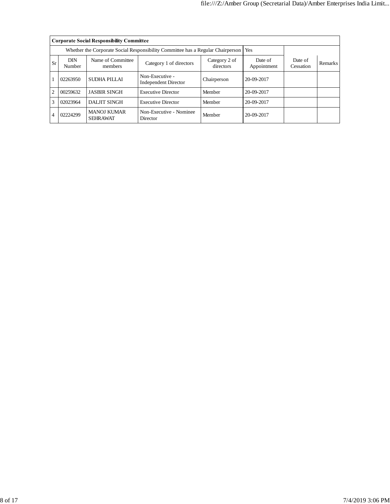|    |                      | <b>Corporate Social Responsibility Committee</b> |                                                                                       |                      |                |  |  |
|----|----------------------|--------------------------------------------------|---------------------------------------------------------------------------------------|----------------------|----------------|--|--|
|    |                      |                                                  | Whether the Corporate Social Responsibility Committee has a Regular Chairperson   Yes |                      |                |  |  |
| Sr | <b>DIN</b><br>Number | Name of Committee<br>members                     | Date of<br>Appointment                                                                | Date of<br>Cessation | <b>Remarks</b> |  |  |
|    | 02263950             | SUDHA PILLAI                                     | Non-Executive -<br><b>Independent Director</b>                                        | Chairperson          | 20-09-2017     |  |  |
| 2  | 00259632             | <b>JASBIR SINGH</b>                              | <b>Executive Director</b>                                                             | Member               | 20-09-2017     |  |  |
| 3  | 02023964             | DALJIT SINGH                                     | Member                                                                                | 20-09-2017           |                |  |  |
|    | 02224299             | <b>MANOJ KUMAR</b><br><b>SEHRAWAT</b>            | Member                                                                                | 20-09-2017           |                |  |  |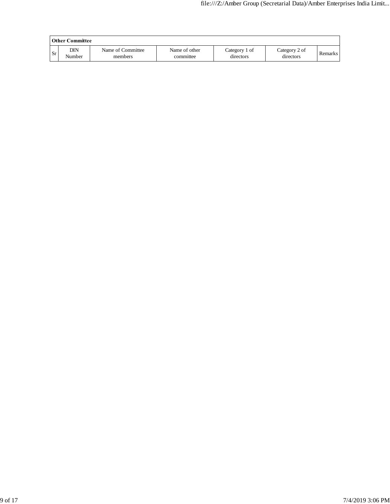|     | Other Committee |                              |                            |                            |                            |         |  |  |  |  |
|-----|-----------------|------------------------------|----------------------------|----------------------------|----------------------------|---------|--|--|--|--|
| Sr. | DIN<br>Number   | Name of Committee<br>members | Name of other<br>committee | Category 1 of<br>directors | Category 2 of<br>directors | Remarks |  |  |  |  |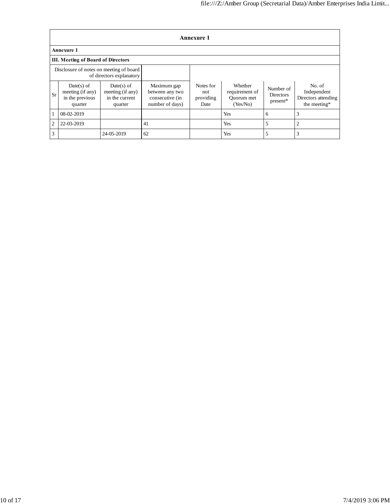|           | <b>Annexure 1</b>                                              |                                                               |                                                                      |                                       |                                                     |                                             |                                                              |  |  |  |  |
|-----------|----------------------------------------------------------------|---------------------------------------------------------------|----------------------------------------------------------------------|---------------------------------------|-----------------------------------------------------|---------------------------------------------|--------------------------------------------------------------|--|--|--|--|
|           | <b>Annexure 1</b>                                              |                                                               |                                                                      |                                       |                                                     |                                             |                                                              |  |  |  |  |
|           | III. Meeting of Board of Directors                             |                                                               |                                                                      |                                       |                                                     |                                             |                                                              |  |  |  |  |
|           | Disclosure of notes on meeting of board                        | of directors explanatory                                      |                                                                      |                                       |                                                     |                                             |                                                              |  |  |  |  |
| <b>Sr</b> | $Date(s)$ of<br>meeting (if any)<br>in the previous<br>quarter | $Date(s)$ of<br>meeting (if any)<br>in the current<br>quarter | Maximum gap<br>between any two<br>consecutive (in<br>number of days) | Notes for<br>not<br>providing<br>Date | Whether<br>requirement of<br>Quorum met<br>(Yes/No) | Number of<br><b>Directors</b><br>$present*$ | No. of<br>Independent<br>Directors attending<br>the meeting* |  |  |  |  |
|           | 08-02-2019                                                     |                                                               |                                                                      |                                       | Yes                                                 | 6                                           | 3                                                            |  |  |  |  |
| 2         | 22-03-2019                                                     |                                                               | 41                                                                   |                                       | Yes                                                 | 5                                           | 2                                                            |  |  |  |  |
| 3         |                                                                | 24-05-2019                                                    | 62                                                                   |                                       | Yes                                                 | 5                                           | 3                                                            |  |  |  |  |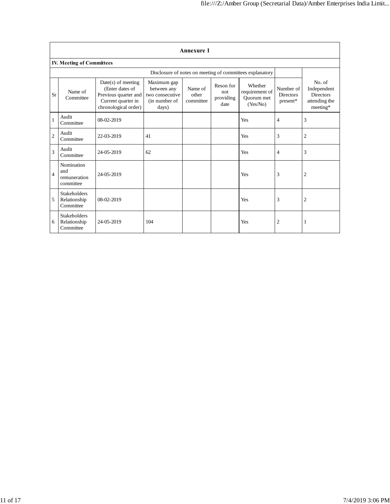|                |                                                  |                                                                                                               |                                                                         | <b>Annexure 1</b>             |                                       |                                                          |                                           |                                                                          |
|----------------|--------------------------------------------------|---------------------------------------------------------------------------------------------------------------|-------------------------------------------------------------------------|-------------------------------|---------------------------------------|----------------------------------------------------------|-------------------------------------------|--------------------------------------------------------------------------|
|                | <b>IV. Meeting of Committees</b>                 |                                                                                                               |                                                                         |                               |                                       |                                                          |                                           |                                                                          |
|                |                                                  |                                                                                                               |                                                                         |                               |                                       | Disclosure of notes on meeting of committees explanatory |                                           |                                                                          |
| Sr             | Name of<br>Committee                             | $Date(s)$ of meeting<br>(Enter dates of<br>Previous quarter and<br>Current quarter in<br>chronological order) | Maximum gap<br>between any<br>two consecutive<br>(in number of<br>days) | Name of<br>other<br>committee | Reson for<br>not<br>providing<br>date | Whether<br>requirement of<br>Ouorum met<br>(Yes/No)      | Number of<br><b>Directors</b><br>present* | No. of<br>Independent<br><b>Directors</b><br>attending the<br>$meeting*$ |
| $\mathbf{1}$   | Audit<br>Committee                               | 08-02-2019                                                                                                    |                                                                         |                               |                                       | Yes                                                      | 4                                         | 3                                                                        |
| $\sqrt{2}$     | Audit<br>Committee                               | 22-03-2019                                                                                                    | 41                                                                      |                               |                                       | Yes                                                      | 3                                         | 2                                                                        |
| 3              | Audit<br>Committee                               | 24-05-2019                                                                                                    | 62                                                                      |                               |                                       | Yes                                                      | 4                                         | 3                                                                        |
| $\overline{4}$ | Nomination<br>and<br>remuneration<br>committee   | 24-05-2019                                                                                                    |                                                                         |                               |                                       | Yes                                                      | 3                                         | 2                                                                        |
| 5              | <b>Stakeholders</b><br>Relationship<br>Committee | 08-02-2019                                                                                                    |                                                                         |                               |                                       | Yes                                                      | 3                                         | $\mathfrak{2}$                                                           |
| 6              | <b>Stakeholders</b><br>Relationship<br>Committee | 24-05-2019                                                                                                    | 104                                                                     |                               |                                       | Yes                                                      | $\overline{2}$                            | 1                                                                        |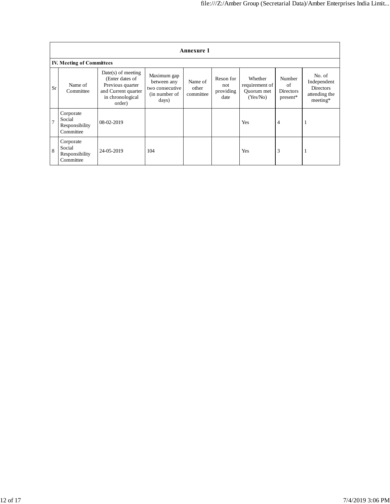|                | <b>Annexure 1</b>                                  |                                                                                                                  |                                                                         |                               |                                       |                                                     |                                              |                                                                          |  |  |
|----------------|----------------------------------------------------|------------------------------------------------------------------------------------------------------------------|-------------------------------------------------------------------------|-------------------------------|---------------------------------------|-----------------------------------------------------|----------------------------------------------|--------------------------------------------------------------------------|--|--|
|                | <b>IV. Meeting of Committees</b>                   |                                                                                                                  |                                                                         |                               |                                       |                                                     |                                              |                                                                          |  |  |
| Sr             | Name of<br>Committee                               | $Date(s)$ of meeting<br>(Enter dates of<br>Previous quarter<br>and Current quarter<br>in chronological<br>order) | Maximum gap<br>between any<br>two consecutive<br>(in number of<br>days) | Name of<br>other<br>committee | Reson for<br>not<br>providing<br>date | Whether<br>requirement of<br>Quorum met<br>(Yes/No) | Number<br>of<br><b>Directors</b><br>present* | No. of<br>Independent<br><b>Directors</b><br>attending the<br>$meeting*$ |  |  |
| $\overline{7}$ | Corporate<br>Social<br>Responsibility<br>Committee | 08-02-2019                                                                                                       |                                                                         |                               |                                       | Yes                                                 | $\overline{4}$                               | 1                                                                        |  |  |
| 8              | Corporate<br>Social<br>Responsibility<br>Committee | 24-05-2019                                                                                                       | 104                                                                     |                               |                                       | Yes                                                 | 3                                            | п                                                                        |  |  |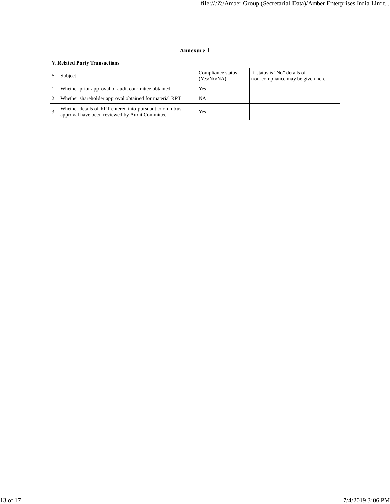|                               | Annexure 1                                                                                                |                                  |                                                                   |  |  |  |
|-------------------------------|-----------------------------------------------------------------------------------------------------------|----------------------------------|-------------------------------------------------------------------|--|--|--|
| V. Related Party Transactions |                                                                                                           |                                  |                                                                   |  |  |  |
| Sr                            | Subject                                                                                                   | Compliance status<br>(Yes/No/NA) | If status is "No" details of<br>non-compliance may be given here. |  |  |  |
|                               | Whether prior approval of audit committee obtained                                                        | Yes                              |                                                                   |  |  |  |
| 2                             | Whether shareholder approval obtained for material RPT                                                    | <b>NA</b>                        |                                                                   |  |  |  |
|                               | Whether details of RPT entered into pursuant to omnibus<br>approval have been reviewed by Audit Committee | Yes                              |                                                                   |  |  |  |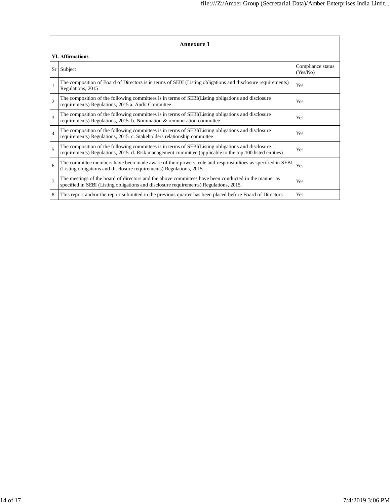| <b>Annexure 1</b>       |                                                                                                                                                                                                                 |                               |  |  |  |
|-------------------------|-----------------------------------------------------------------------------------------------------------------------------------------------------------------------------------------------------------------|-------------------------------|--|--|--|
| <b>VI. Affirmations</b> |                                                                                                                                                                                                                 |                               |  |  |  |
|                         | Sr Subject                                                                                                                                                                                                      | Compliance status<br>(Yes/No) |  |  |  |
| 1                       | The composition of Board of Directors is in terms of SEBI (Listing obligations and disclosure requirements)<br>Regulations, 2015                                                                                | Yes                           |  |  |  |
| $\overline{2}$          | The composition of the following committees is in terms of SEBI(Listing obligations and disclosure<br>requirements) Regulations, 2015 a. Audit Committee                                                        | Yes                           |  |  |  |
| 3                       | The composition of the following committees is in terms of SEBI(Listing obligations and disclosure<br>requirements) Regulations, 2015. b. Nomination & remuneration committee                                   | Yes                           |  |  |  |
| $\overline{4}$          | The composition of the following committees is in terms of SEBI(Listing obligations and disclosure<br>requirements) Regulations, 2015. c. Stakeholders relationship committee                                   | Yes                           |  |  |  |
| 5                       | The composition of the following committees is in terms of SEBI(Listing obligations and disclosure<br>requirements) Regulations, 2015. d. Risk management committee (applicable to the top 100 listed entities) | Yes                           |  |  |  |
| 6                       | The committee members have been made aware of their powers, role and responsibilities as specified in SEBI<br>(Listing obligations and disclosure requirements) Regulations, 2015.                              | Yes                           |  |  |  |
| $\overline{7}$          | The meetings of the board of directors and the above committees have been conducted in the manner as<br>specified in SEBI (Listing obligations and disclosure requirements) Regulations, 2015.                  | Yes                           |  |  |  |
| 8                       | This report and/or the report submitted in the previous quarter has been placed before Board of Directors.                                                                                                      | Yes                           |  |  |  |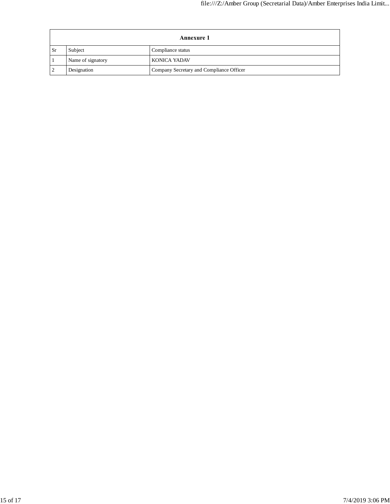| <b>Annexure 1</b>      |                   |                                          |
|------------------------|-------------------|------------------------------------------|
| $\overline{\text{Sr}}$ | Subject           | Compliance status                        |
|                        | Name of signatory | <b>KONICA YADAV</b>                      |
| $\overline{2}$         | Designation       | Company Secretary and Compliance Officer |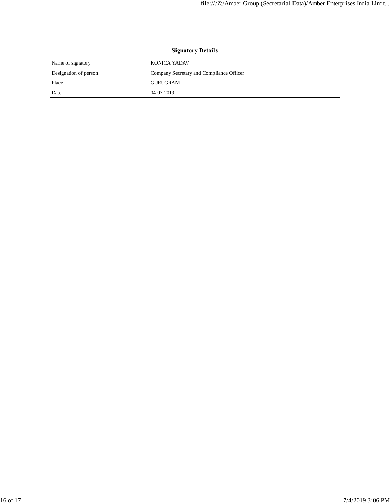| <b>Signatory Details</b> |                                          |
|--------------------------|------------------------------------------|
| Name of signatory        | <b>KONICA YADAV</b>                      |
| Designation of person    | Company Secretary and Compliance Officer |
| Place                    | <b>GURUGRAM</b>                          |
| Date                     | 04-07-2019                               |